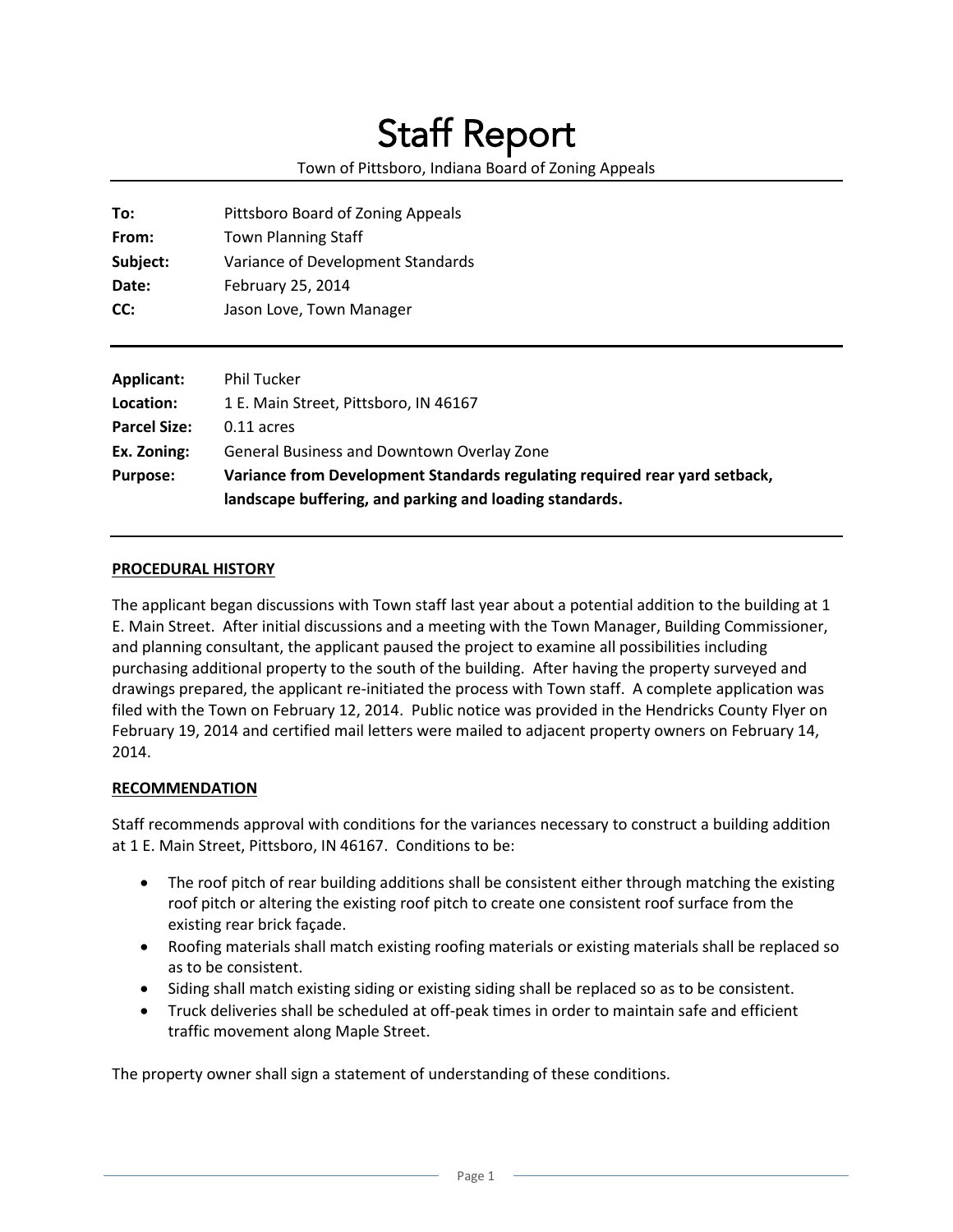# Staff Report

## Town of Pittsboro, Indiana Board of Zoning Appeals

| To:      | Pittsboro Board of Zoning Appeals |
|----------|-----------------------------------|
| From:    | <b>Town Planning Staff</b>        |
| Subject: | Variance of Development Standards |
| Date:    | February 25, 2014                 |
| CC:      | Jason Love, Town Manager          |
|          |                                   |

| Applicant:          | <b>Phil Tucker</b>                                                         |
|---------------------|----------------------------------------------------------------------------|
| Location:           | 1 E. Main Street, Pittsboro, IN 46167                                      |
| <b>Parcel Size:</b> | $0.11$ acres                                                               |
| Ex. Zoning:         | General Business and Downtown Overlay Zone                                 |
| <b>Purpose:</b>     | Variance from Development Standards regulating required rear yard setback, |
|                     | landscape buffering, and parking and loading standards.                    |

#### **PROCEDURAL HISTORY**

The applicant began discussions with Town staff last year about a potential addition to the building at 1 E. Main Street. After initial discussions and a meeting with the Town Manager, Building Commissioner, and planning consultant, the applicant paused the project to examine all possibilities including purchasing additional property to the south of the building. After having the property surveyed and drawings prepared, the applicant re-initiated the process with Town staff. A complete application was filed with the Town on February 12, 2014. Public notice was provided in the Hendricks County Flyer on February 19, 2014 and certified mail letters were mailed to adjacent property owners on February 14, 2014.

#### **RECOMMENDATION**

Staff recommends approval with conditions for the variances necessary to construct a building addition at 1 E. Main Street, Pittsboro, IN 46167. Conditions to be:

- The roof pitch of rear building additions shall be consistent either through matching the existing roof pitch or altering the existing roof pitch to create one consistent roof surface from the existing rear brick façade.
- Roofing materials shall match existing roofing materials or existing materials shall be replaced so as to be consistent.
- Siding shall match existing siding or existing siding shall be replaced so as to be consistent.
- Truck deliveries shall be scheduled at off-peak times in order to maintain safe and efficient traffic movement along Maple Street.

The property owner shall sign a statement of understanding of these conditions.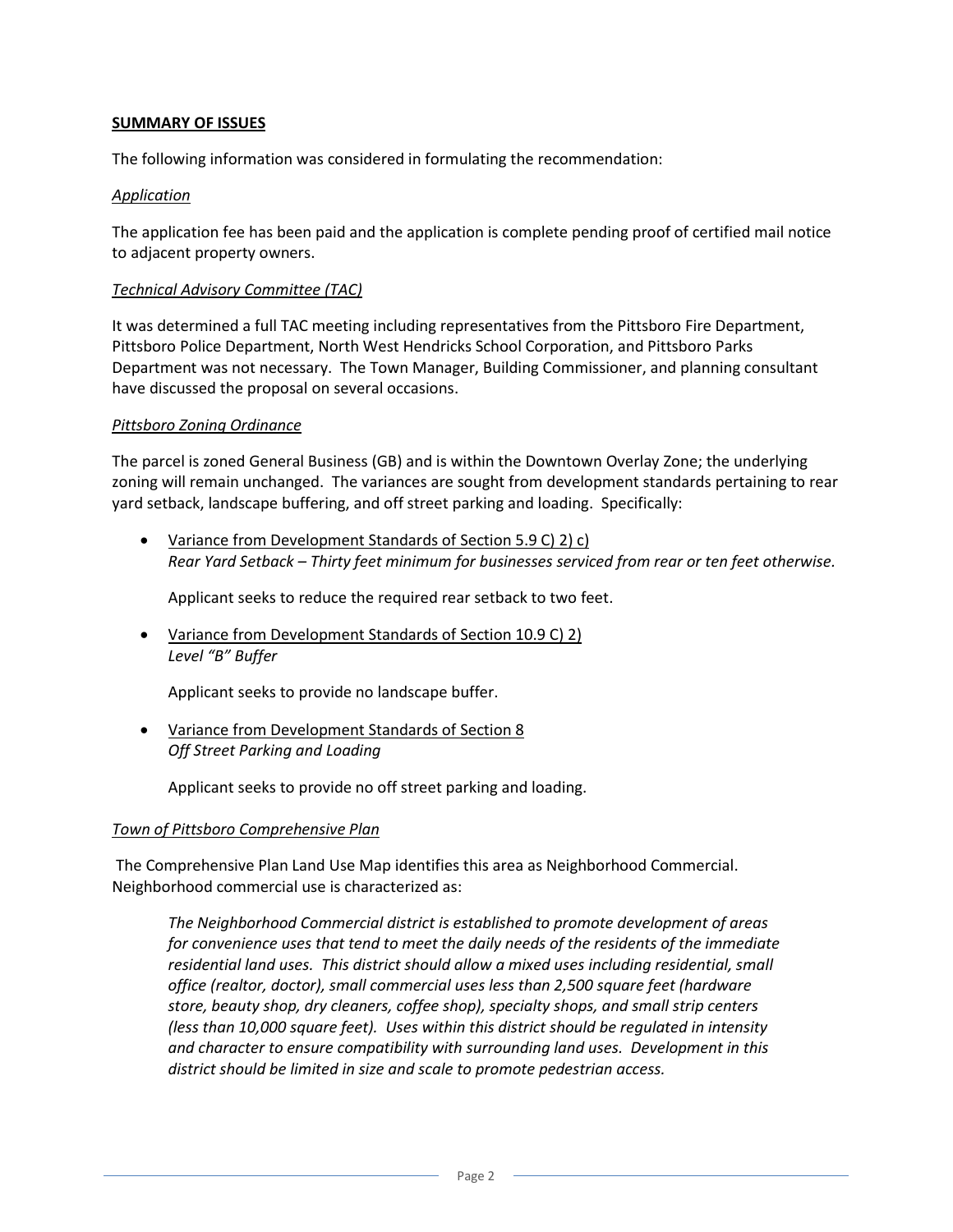### **SUMMARY OF ISSUES**

The following information was considered in formulating the recommendation:

#### *Application*

The application fee has been paid and the application is complete pending proof of certified mail notice to adjacent property owners.

#### *Technical Advisory Committee (TAC)*

It was determined a full TAC meeting including representatives from the Pittsboro Fire Department, Pittsboro Police Department, North West Hendricks School Corporation, and Pittsboro Parks Department was not necessary. The Town Manager, Building Commissioner, and planning consultant have discussed the proposal on several occasions.

#### *Pittsboro Zoning Ordinance*

The parcel is zoned General Business (GB) and is within the Downtown Overlay Zone; the underlying zoning will remain unchanged. The variances are sought from development standards pertaining to rear yard setback, landscape buffering, and off street parking and loading. Specifically:

 Variance from Development Standards of Section 5.9 C) 2) c) *Rear Yard Setback – Thirty feet minimum for businesses serviced from rear or ten feet otherwise.*

Applicant seeks to reduce the required rear setback to two feet.

 Variance from Development Standards of Section 10.9 C) 2) *Level "B" Buffer*

Applicant seeks to provide no landscape buffer.

 Variance from Development Standards of Section 8 *Off Street Parking and Loading*

Applicant seeks to provide no off street parking and loading.

#### *Town of Pittsboro Comprehensive Plan*

The Comprehensive Plan Land Use Map identifies this area as Neighborhood Commercial. Neighborhood commercial use is characterized as:

*The Neighborhood Commercial district is established to promote development of areas for convenience uses that tend to meet the daily needs of the residents of the immediate residential land uses. This district should allow a mixed uses including residential, small office (realtor, doctor), small commercial uses less than 2,500 square feet (hardware store, beauty shop, dry cleaners, coffee shop), specialty shops, and small strip centers (less than 10,000 square feet). Uses within this district should be regulated in intensity and character to ensure compatibility with surrounding land uses. Development in this district should be limited in size and scale to promote pedestrian access.*